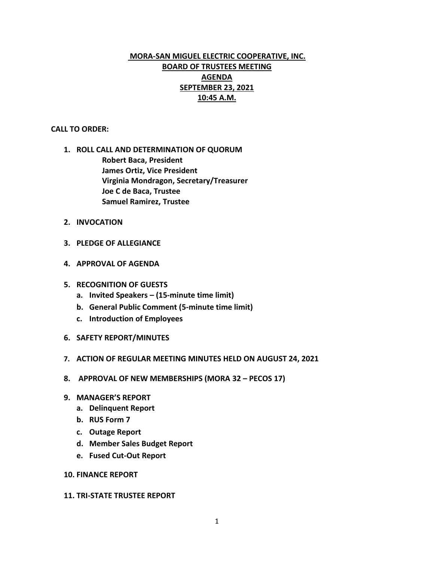# **MORA-SAN MIGUEL ELECTRIC COOPERATIVE, INC. BOARD OF TRUSTEES MEETING AGENDA SEPTEMBER 23, 2021 10:45 A.M.**

## **CALL TO ORDER:**

- **1. ROLL CALL AND DETERMINATION OF QUORUM Robert Baca, President James Ortiz, Vice President Virginia Mondragon, Secretary/Treasurer Joe C de Baca, Trustee Samuel Ramirez, Trustee**
- **2. INVOCATION**
- **3. PLEDGE OF ALLEGIANCE**
- **4. APPROVAL OF AGENDA**
- **5. RECOGNITION OF GUESTS**
	- **a. Invited Speakers – (15-minute time limit)**
	- **b. General Public Comment (5-minute time limit)**
	- **c. Introduction of Employees**
- **6. SAFETY REPORT/MINUTES**
- **7. ACTION OF REGULAR MEETING MINUTES HELD ON AUGUST 24, 2021**
- **8. APPROVAL OF NEW MEMBERSHIPS (MORA 32 – PECOS 17)**
- **9. MANAGER'S REPORT**
	- **a. Delinquent Report**
	- **b. RUS Form 7**
	- **c. Outage Report**
	- **d. Member Sales Budget Report**
	- **e. Fused Cut-Out Report**

## **10. FINANCE REPORT**

### **11. TRI-STATE TRUSTEE REPORT**